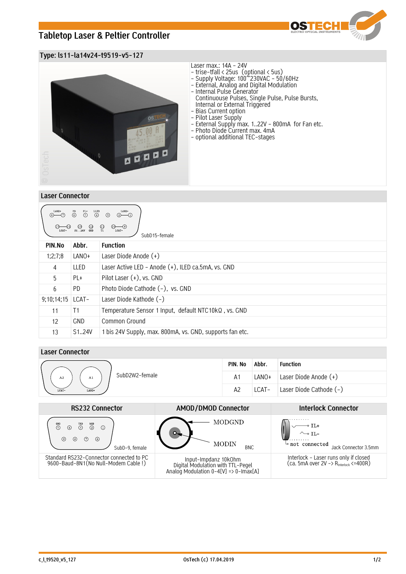# **Tabletop Laser & Peltier Controller**



## **Type: ls11-la14v24-t9519-v5-127**



### **Laser Connector**

| LANO+<br>$\begin{matrix} \text{LLED} \\ \textcircled{4} \end{matrix}$<br>LANO+<br>$\overset{\text{PL+}}{\textcircled{\tiny \ddot{\text{D}}}}$<br>$\overset{PD}{\odot}$<br>$(2)$ (1)<br>$\circled{3}$<br>$\bigoplus_{T1}$<br>$\begin{array}{cc} \textcircled{13} & \textcircled{12} \\ \text{S1} & .24\text{V} & \textcircled{3}\text{ND} \end{array}$<br>$\overbrace{\mathbb{C}}_{\mathsf{LCAT}^+}$<br>SubD15-female |                     |                                                          |  |  |  |
|----------------------------------------------------------------------------------------------------------------------------------------------------------------------------------------------------------------------------------------------------------------------------------------------------------------------------------------------------------------------------------------------------------------------|---------------------|----------------------------------------------------------|--|--|--|
| PIN.No                                                                                                                                                                                                                                                                                                                                                                                                               | Abbr.               | <b>Function</b>                                          |  |  |  |
| 1;2;7;8                                                                                                                                                                                                                                                                                                                                                                                                              | LANO+               | Laser Diode Anode (+)                                    |  |  |  |
| 4                                                                                                                                                                                                                                                                                                                                                                                                                    | LLED                | Laser Active LED - Anode (+), ILED ca.5mA, vs. GND       |  |  |  |
| 5                                                                                                                                                                                                                                                                                                                                                                                                                    | PL+                 | Pilot Laser $(+)$ , vs. GND                              |  |  |  |
| 6                                                                                                                                                                                                                                                                                                                                                                                                                    | PD.                 | Photo Diode Cathode (-), vs. GND                         |  |  |  |
| 9;10;14;15                                                                                                                                                                                                                                                                                                                                                                                                           | LCAT-               | Laser Diode Kathode (-)                                  |  |  |  |
| 11                                                                                                                                                                                                                                                                                                                                                                                                                   | T1                  | Temperature Sensor 1 Input, default NTC10kQ, vs. GND     |  |  |  |
| 12                                                                                                                                                                                                                                                                                                                                                                                                                   | <b>GND</b>          | Common Ground                                            |  |  |  |
| 13                                                                                                                                                                                                                                                                                                                                                                                                                   | S <sub>1</sub> .24V | 1 bis 24V Supply, max. 800mA, vs. GND, supports fan etc. |  |  |  |

## **Laser Connector**

|                            | PIN. No | Abbr. | <b>Function</b>         |
|----------------------------|---------|-------|-------------------------|
| SubD2W2-female<br>A1<br>A2 | A1      | LANO+ | Laser Diode Anode (+)   |
| LCAT-<br>LANO+             | A2      | LCAT- | Laser Diode Cathode (-) |